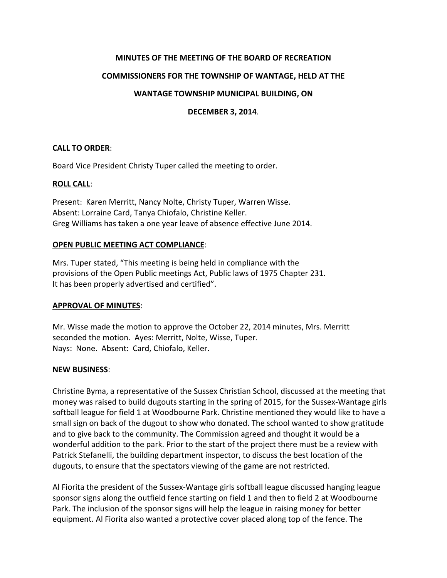# **MINUTES OF THE MEETING OF THE BOARD OF RECREATION**

# **COMMISSIONERS FOR THE TOWNSHIP OF WANTAGE, HELD AT THE**

# **WANTAGE TOWNSHIP MUNICIPAL BUILDING, ON**

### **DECEMBER 3, 2014**.

## **CALL TO ORDER**:

Board Vice President Christy Tuper called the meeting to order.

### **ROLL CALL:**

Present: Karen Merritt, Nancy Nolte, Christy Tuper, Warren Wisse. Absent: Lorraine Card, Tanya Chiofalo, Christine Keller. Greg Williams has taken a one year leave of absence effective June 2014.

## **OPEN PUBLIC MEETING ACT COMPLIANCE:**

Mrs. Tuper stated, "This meeting is being held in compliance with the provisions of the Open Public meetings Act, Public laws of 1975 Chapter 231. It has been properly advertised and certified".

#### **APPROVAL OF MINUTES**:

Mr. Wisse made the motion to approve the October 22, 2014 minutes, Mrs. Merritt seconded the motion. Ayes: Merritt, Nolte, Wisse, Tuper. Nays: None. Absent: Card, Chiofalo, Keller.

#### **NEW BUSINESS**:

Christine Byma, a representative of the Sussex Christian School, discussed at the meeting that money was raised to build dugouts starting in the spring of 2015, for the Sussex-Wantage girls softball league for field 1 at Woodbourne Park. Christine mentioned they would like to have a small sign on back of the dugout to show who donated. The school wanted to show gratitude and to give back to the community. The Commission agreed and thought it would be a wonderful addition to the park. Prior to the start of the project there must be a review with Patrick Stefanelli, the building department inspector, to discuss the best location of the dugouts, to ensure that the spectators viewing of the game are not restricted.

Al Fiorita the president of the Sussex-Wantage girls softball league discussed hanging league sponsor signs along the outfield fence starting on field 1 and then to field 2 at Woodbourne Park. The inclusion of the sponsor signs will help the league in raising money for better equipment. Al Fiorita also wanted a protective cover placed along top of the fence. The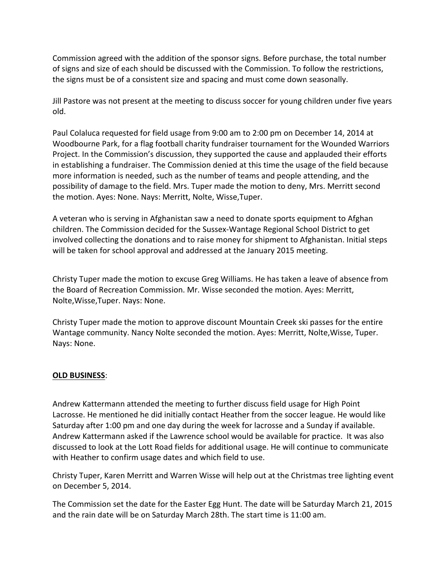Commission agreed with the addition of the sponsor signs. Before purchase, the total number of signs and size of each should be discussed with the Commission. To follow the restrictions, the signs must be of a consistent size and spacing and must come down seasonally.

Jill Pastore was not present at the meeting to discuss soccer for young children under five years old.

Paul Colaluca requested for field usage from 9:00 am to 2:00 pm on December 14, 2014 at Woodbourne Park, for a flag football charity fundraiser tournament for the Wounded Warriors Project. In the Commission's discussion, they supported the cause and applauded their efforts in establishing a fundraiser. The Commission denied at this time the usage of the field because more information is needed, such as the number of teams and people attending, and the possibility of damage to the field. Mrs. Tuper made the motion to deny, Mrs. Merritt second the motion. Ayes: None. Nays: Merritt, Nolte, Wisse, Tuper.

A veteran who is serving in Afghanistan saw a need to donate sports equipment to Afghan children. The Commission decided for the Sussex-Wantage Regional School District to get involved collecting the donations and to raise money for shipment to Afghanistan. Initial steps will be taken for school approval and addressed at the January 2015 meeting.

Christy Tuper made the motion to excuse Greg Williams. He has taken a leave of absence from the Board of Recreation Commission. Mr. Wisse seconded the motion. Ayes: Merritt, Nolte, Wisse, Tuper. Nays: None.

Christy Tuper made the motion to approve discount Mountain Creek ski passes for the entire Wantage community. Nancy Nolte seconded the motion. Ayes: Merritt, Nolte, Wisse, Tuper. Nays: None.

## **OLD BUSINESS**:

Andrew Kattermann attended the meeting to further discuss field usage for High Point Lacrosse. He mentioned he did initially contact Heather from the soccer league. He would like Saturday after 1:00 pm and one day during the week for lacrosse and a Sunday if available. Andrew Kattermann asked if the Lawrence school would be available for practice. It was also discussed to look at the Lott Road fields for additional usage. He will continue to communicate with Heather to confirm usage dates and which field to use.

Christy Tuper, Karen Merritt and Warren Wisse will help out at the Christmas tree lighting event on December 5, 2014. 

The Commission set the date for the Easter Egg Hunt. The date will be Saturday March 21, 2015 and the rain date will be on Saturday March 28th. The start time is 11:00 am.